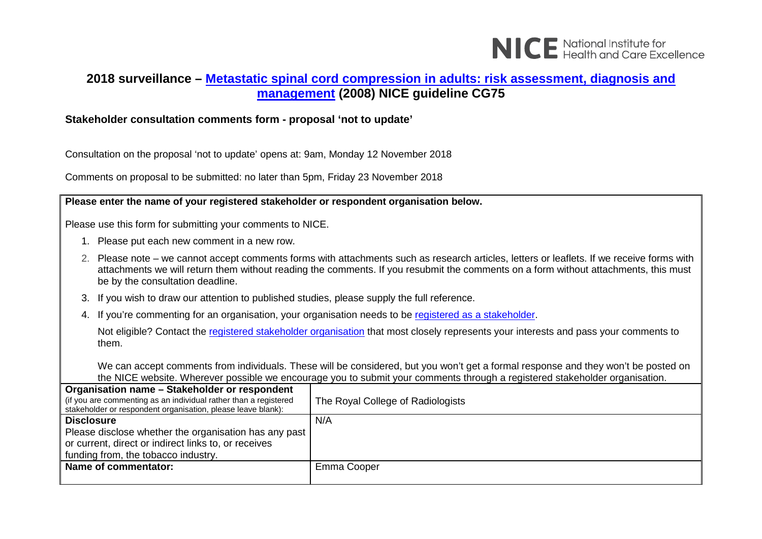

## **2018 surveillance – [Metastatic spinal cord compression in adults: risk assessment, diagnosis and](https://www.nice.org.uk/guidance/cg75)  [management](https://www.nice.org.uk/guidance/cg75) (2008) NICE guideline CG75**

## **Stakeholder consultation comments form - proposal 'not to update'**

Consultation on the proposal 'not to update' opens at: 9am, Monday 12 November 2018

Comments on proposal to be submitted: no later than 5pm, Friday 23 November 2018

**Please enter the name of your registered stakeholder or respondent organisation below.**

Please use this form for submitting your comments to NICE.

- 1. Please put each new comment in a new row.
- 2. Please note we cannot accept comments forms with attachments such as research articles, letters or leaflets. If we receive forms with attachments we will return them without reading the comments. If you resubmit the comments on a form without attachments, this must be by the consultation deadline.
- 3. If you wish to draw our attention to published studies, please supply the full reference.
- 4. If you're commenting for an organisation, your organisation needs to be [registered as a stakeholder.](https://www.nice.org.uk/get-involved/stakeholder-registration)

Not eligible? Contact the [registered stakeholder organisation](https://www.nice.org.uk/guidance/cg75/documents/stakeholder-list-2) that most closely represents your interests and pass your comments to them.

We can accept comments from individuals. These will be considered, but you won't get a formal response and they won't be posted on the NICE website. Wherever possible we encourage you to submit your comments through a registered stakeholder organisation.

| The Royal College of Radiologists |
|-----------------------------------|
|                                   |
| N/A                               |
|                                   |
|                                   |
|                                   |
| Emma Cooper                       |
|                                   |
|                                   |